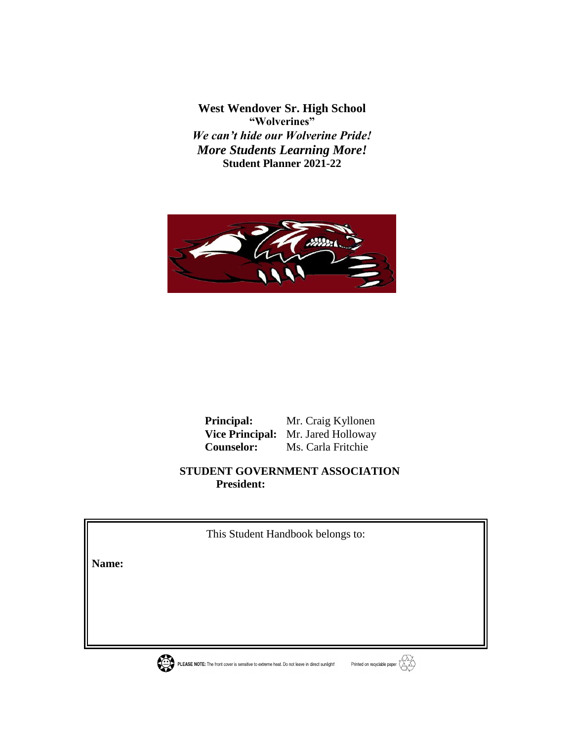**West Wendover Sr. High School "Wolverines"** *We can't hide our Wolverine Pride! More Students Learning More!* **Student Planner 2021-22**



 **Principal:** Mr. Craig Kyllonen  **Vice Principal:** Mr. Jared Holloway  **Counselor:** Ms. Carla Fritchie

 **STUDENT GOVERNMENT ASSOCIATION President:**

This Student Handbook belongs to:

**Name:** 





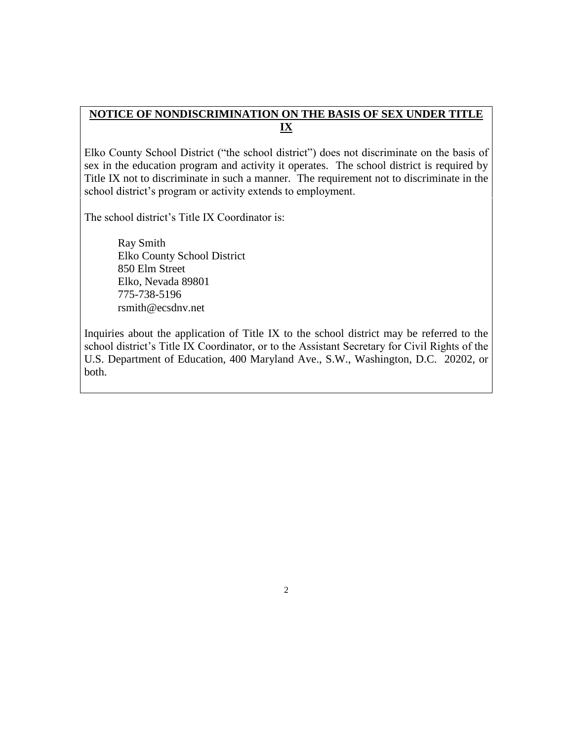### **NOTICE OF NONDISCRIMINATION ON THE BASIS OF SEX UNDER TITLE IX**

Elko County School District ("the school district") does not discriminate on the basis of sex in the education program and activity it operates. The school district is required by Title IX not to discriminate in such a manner. The requirement not to discriminate in the school district's program or activity extends to employment.

The school district's Title IX Coordinator is:

Ray Smith Elko County School District 850 Elm Street Elko, Nevada 89801 775-738-5196 rsmith@ecsdnv.net

Inquiries about the application of Title IX to the school district may be referred to the school district's Title IX Coordinator, or to the Assistant Secretary for Civil Rights of the U.S. Department of Education, 400 Maryland Ave., S.W., Washington, D.C. 20202, or both.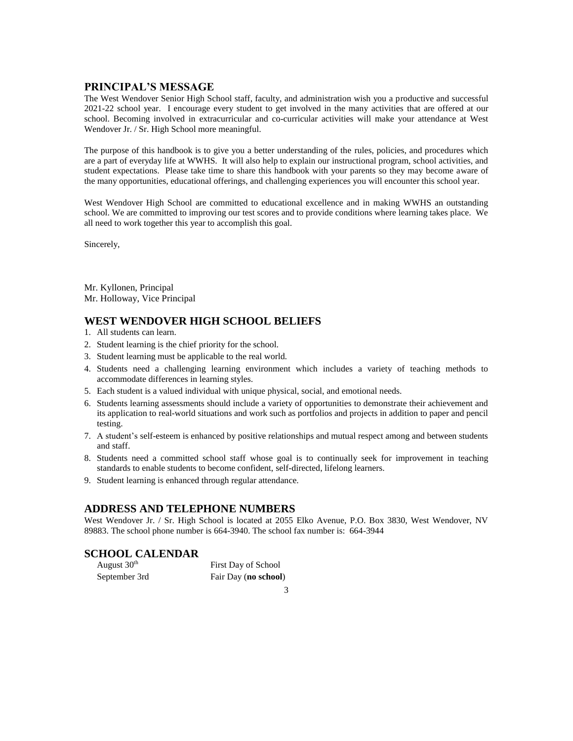#### **PRINCIPAL'S MESSAGE**

The West Wendover Senior High School staff, faculty, and administration wish you a productive and successful 2021-22 school year. I encourage every student to get involved in the many activities that are offered at our school. Becoming involved in extracurricular and co-curricular activities will make your attendance at West Wendover Jr. / Sr. High School more meaningful.

The purpose of this handbook is to give you a better understanding of the rules, policies, and procedures which are a part of everyday life at WWHS. It will also help to explain our instructional program, school activities, and student expectations. Please take time to share this handbook with your parents so they may become aware of the many opportunities, educational offerings, and challenging experiences you will encounter this school year.

West Wendover High School are committed to educational excellence and in making WWHS an outstanding school. We are committed to improving our test scores and to provide conditions where learning takes place. We all need to work together this year to accomplish this goal.

Sincerely,

Mr. Kyllonen, Principal Mr. Holloway, Vice Principal

#### **WEST WENDOVER HIGH SCHOOL BELIEFS**

- 1. All students can learn.
- 2. Student learning is the chief priority for the school.
- 3. Student learning must be applicable to the real world.
- 4. Students need a challenging learning environment which includes a variety of teaching methods to accommodate differences in learning styles.
- 5. Each student is a valued individual with unique physical, social, and emotional needs.
- 6. Students learning assessments should include a variety of opportunities to demonstrate their achievement and its application to real-world situations and work such as portfolios and projects in addition to paper and pencil testing.
- 7. A student's self-esteem is enhanced by positive relationships and mutual respect among and between students and staff.
- 8. Students need a committed school staff whose goal is to continually seek for improvement in teaching standards to enable students to become confident, self-directed, lifelong learners.
- 9. Student learning is enhanced through regular attendance.

#### **ADDRESS AND TELEPHONE NUMBERS**

West Wendover Jr. / Sr. High School is located at 2055 Elko Avenue, P.O. Box 3830, West Wendover, NV 89883. The school phone number is 664-3940. The school fax number is: 664-3944

#### **SCHOOL CALENDAR**

| August 30 <sup>th</sup> | First Day of School  |
|-------------------------|----------------------|
| September 3rd           | Fair Day (no school) |

3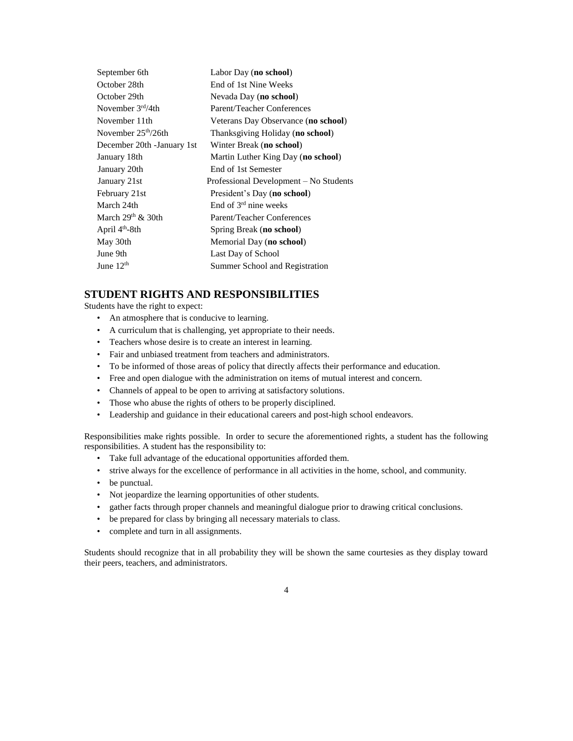| September 6th               | Labor Day (no school)                  |
|-----------------------------|----------------------------------------|
| October 28th                | End of 1st Nine Weeks                  |
| October 29th                | Nevada Day (no school)                 |
| November $3rd/4th$          | Parent/Teacher Conferences             |
| November 11th               | Veterans Day Observance (no school)    |
| November $25th/26th$        | Thanksgiving Holiday (no school)       |
| December 20th - January 1st | Winter Break (no school)               |
| January 18th                | Martin Luther King Day (no school)     |
| January 20th                | End of 1st Semester                    |
| January 21st                | Professional Development – No Students |
| February 21st               | President's Day (no school)            |
| March 24th                  | End of 3 <sup>rd</sup> nine weeks      |
| March $29th$ & 30th         | Parent/Teacher Conferences             |
| April 4 <sup>th</sup> -8th  | Spring Break (no school)               |
| May 30th                    | Memorial Day (no school)               |
| June 9th                    | Last Day of School                     |
| June $12th$                 | Summer School and Registration         |
|                             |                                        |

#### **STUDENT RIGHTS AND RESPONSIBILITIES**

Students have the right to expect:

- An atmosphere that is conducive to learning.
- A curriculum that is challenging, yet appropriate to their needs.
- Teachers whose desire is to create an interest in learning.
- Fair and unbiased treatment from teachers and administrators.
- To be informed of those areas of policy that directly affects their performance and education.
- Free and open dialogue with the administration on items of mutual interest and concern.
- Channels of appeal to be open to arriving at satisfactory solutions.
- Those who abuse the rights of others to be properly disciplined.
- Leadership and guidance in their educational careers and post-high school endeavors.

Responsibilities make rights possible. In order to secure the aforementioned rights, a student has the following responsibilities. A student has the responsibility to:

- Take full advantage of the educational opportunities afforded them.
- strive always for the excellence of performance in all activities in the home, school, and community.
- be punctual.
- Not jeopardize the learning opportunities of other students.
- gather facts through proper channels and meaningful dialogue prior to drawing critical conclusions.
- be prepared for class by bringing all necessary materials to class.
- complete and turn in all assignments.

Students should recognize that in all probability they will be shown the same courtesies as they display toward their peers, teachers, and administrators.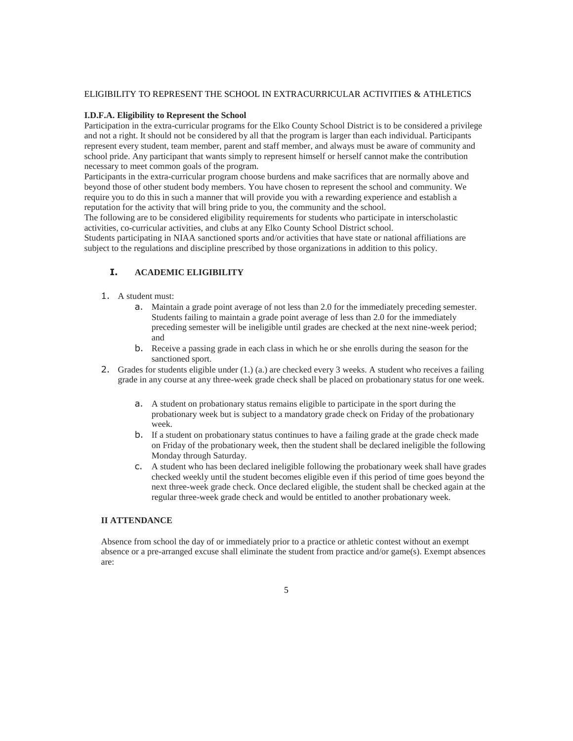#### ELIGIBILITY TO REPRESENT THE SCHOOL IN EXTRACURRICULAR ACTIVITIES & ATHLETICS

#### **I.D.F.A. Eligibility to Represent the School**

Participation in the extra-curricular programs for the Elko County School District is to be considered a privilege and not a right. It should not be considered by all that the program is larger than each individual. Participants represent every student, team member, parent and staff member, and always must be aware of community and school pride. Any participant that wants simply to represent himself or herself cannot make the contribution necessary to meet common goals of the program.

Participants in the extra-curricular program choose burdens and make sacrifices that are normally above and beyond those of other student body members. You have chosen to represent the school and community. We require you to do this in such a manner that will provide you with a rewarding experience and establish a reputation for the activity that will bring pride to you, the community and the school.

The following are to be considered eligibility requirements for students who participate in interscholastic activities, co-curricular activities, and clubs at any Elko County School District school.

Students participating in NIAA sanctioned sports and/or activities that have state or national affiliations are subject to the regulations and discipline prescribed by those organizations in addition to this policy.

#### **I. ACADEMIC ELIGIBILITY**

- 1. A student must:
	- a. Maintain a grade point average of not less than 2.0 for the immediately preceding semester. Students failing to maintain a grade point average of less than 2.0 for the immediately preceding semester will be ineligible until grades are checked at the next nine-week period; and
	- b. Receive a passing grade in each class in which he or she enrolls during the season for the sanctioned sport.
- 2. Grades for students eligible under (1.) (a.) are checked every 3 weeks. A student who receives a failing grade in any course at any three-week grade check shall be placed on probationary status for one week.
	- a. A student on probationary status remains eligible to participate in the sport during the probationary week but is subject to a mandatory grade check on Friday of the probationary week.
	- b. If a student on probationary status continues to have a failing grade at the grade check made on Friday of the probationary week, then the student shall be declared ineligible the following Monday through Saturday.
	- c. A student who has been declared ineligible following the probationary week shall have grades checked weekly until the student becomes eligible even if this period of time goes beyond the next three-week grade check. Once declared eligible, the student shall be checked again at the regular three-week grade check and would be entitled to another probationary week.

#### **II ATTENDANCE**

Absence from school the day of or immediately prior to a practice or athletic contest without an exempt absence or a pre-arranged excuse shall eliminate the student from practice and/or game(s). Exempt absences are: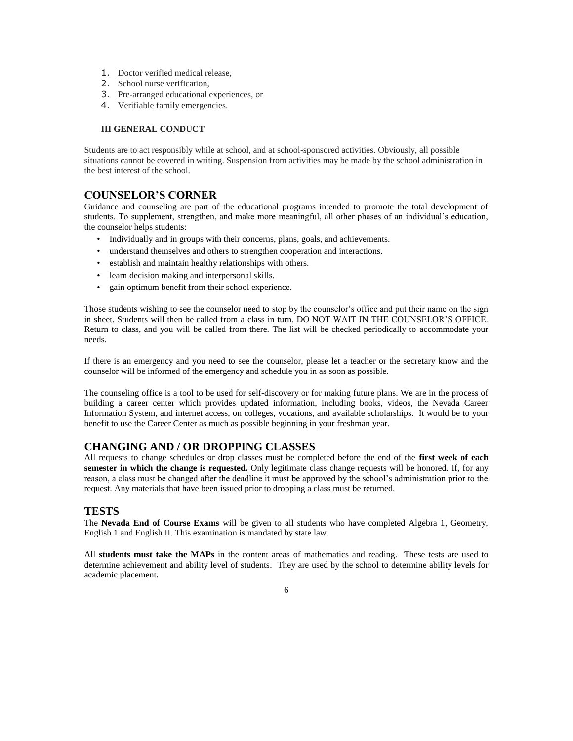- 1. Doctor verified medical release,
- 2. School nurse verification,
- 3. Pre-arranged educational experiences, or
- 4. Verifiable family emergencies.

#### **III GENERAL CONDUCT**

Students are to act responsibly while at school, and at school-sponsored activities. Obviously, all possible situations cannot be covered in writing. Suspension from activities may be made by the school administration in the best interest of the school.

#### **COUNSELOR'S CORNER**

Guidance and counseling are part of the educational programs intended to promote the total development of students. To supplement, strengthen, and make more meaningful, all other phases of an individual's education, the counselor helps students:

- Individually and in groups with their concerns, plans, goals, and achievements.
- understand themselves and others to strengthen cooperation and interactions.
- establish and maintain healthy relationships with others.
- learn decision making and interpersonal skills.
- gain optimum benefit from their school experience.

Those students wishing to see the counselor need to stop by the counselor's office and put their name on the sign in sheet. Students will then be called from a class in turn. DO NOT WAIT IN THE COUNSELOR'S OFFICE. Return to class, and you will be called from there. The list will be checked periodically to accommodate your needs.

If there is an emergency and you need to see the counselor, please let a teacher or the secretary know and the counselor will be informed of the emergency and schedule you in as soon as possible.

The counseling office is a tool to be used for self-discovery or for making future plans. We are in the process of building a career center which provides updated information, including books, videos, the Nevada Career Information System, and internet access, on colleges, vocations, and available scholarships. It would be to your benefit to use the Career Center as much as possible beginning in your freshman year.

#### **CHANGING AND / OR DROPPING CLASSES**

All requests to change schedules or drop classes must be completed before the end of the **first week of each semester in which the change is requested.** Only legitimate class change requests will be honored. If, for any reason, a class must be changed after the deadline it must be approved by the school's administration prior to the request. Any materials that have been issued prior to dropping a class must be returned.

#### **TESTS**

The **Nevada End of Course Exams** will be given to all students who have completed Algebra 1, Geometry, English 1 and English II. This examination is mandated by state law.

All **students must take the MAPs** in the content areas of mathematics and reading. These tests are used to determine achievement and ability level of students. They are used by the school to determine ability levels for academic placement.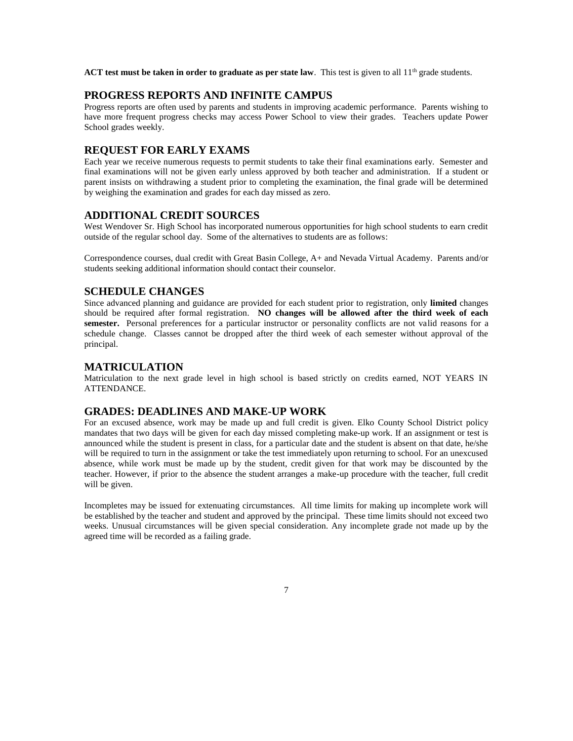ACT test must be taken in order to graduate as per state law. This test is given to all 11<sup>th</sup> grade students.

#### **PROGRESS REPORTS AND INFINITE CAMPUS**

Progress reports are often used by parents and students in improving academic performance. Parents wishing to have more frequent progress checks may access Power School to view their grades. Teachers update Power School grades weekly.

#### **REQUEST FOR EARLY EXAMS**

Each year we receive numerous requests to permit students to take their final examinations early. Semester and final examinations will not be given early unless approved by both teacher and administration. If a student or parent insists on withdrawing a student prior to completing the examination, the final grade will be determined by weighing the examination and grades for each day missed as zero.

#### **ADDITIONAL CREDIT SOURCES**

West Wendover Sr. High School has incorporated numerous opportunities for high school students to earn credit outside of the regular school day. Some of the alternatives to students are as follows:

Correspondence courses, dual credit with Great Basin College, A+ and Nevada Virtual Academy. Parents and/or students seeking additional information should contact their counselor.

#### **SCHEDULE CHANGES**

Since advanced planning and guidance are provided for each student prior to registration, only **limited** changes should be required after formal registration. **NO changes will be allowed after the third week of each semester.** Personal preferences for a particular instructor or personality conflicts are not valid reasons for a schedule change. Classes cannot be dropped after the third week of each semester without approval of the principal.

#### **MATRICULATION**

Matriculation to the next grade level in high school is based strictly on credits earned, NOT YEARS IN ATTENDANCE.

#### **GRADES: DEADLINES AND MAKE-UP WORK**

For an excused absence, work may be made up and full credit is given. Elko County School District policy mandates that two days will be given for each day missed completing make-up work. If an assignment or test is announced while the student is present in class, for a particular date and the student is absent on that date, he/she will be required to turn in the assignment or take the test immediately upon returning to school. For an unexcused absence, while work must be made up by the student, credit given for that work may be discounted by the teacher. However, if prior to the absence the student arranges a make-up procedure with the teacher, full credit will be given.

Incompletes may be issued for extenuating circumstances. All time limits for making up incomplete work will be established by the teacher and student and approved by the principal. These time limits should not exceed two weeks. Unusual circumstances will be given special consideration. Any incomplete grade not made up by the agreed time will be recorded as a failing grade.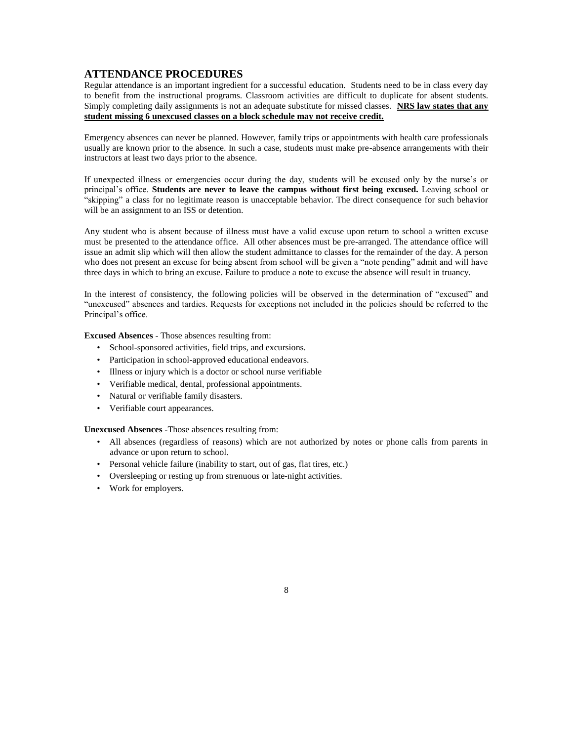#### **ATTENDANCE PROCEDURES**

Regular attendance is an important ingredient for a successful education. Students need to be in class every day to benefit from the instructional programs. Classroom activities are difficult to duplicate for absent students. Simply completing daily assignments is not an adequate substitute for missed classes. **NRS law states that any student missing 6 unexcused classes on a block schedule may not receive credit.** 

Emergency absences can never be planned. However, family trips or appointments with health care professionals usually are known prior to the absence. In such a case, students must make pre-absence arrangements with their instructors at least two days prior to the absence.

If unexpected illness or emergencies occur during the day, students will be excused only by the nurse's or principal's office. **Students are never to leave the campus without first being excused.** Leaving school or "skipping" a class for no legitimate reason is unacceptable behavior. The direct consequence for such behavior will be an assignment to an ISS or detention.

Any student who is absent because of illness must have a valid excuse upon return to school a written excuse must be presented to the attendance office. All other absences must be pre-arranged. The attendance office will issue an admit slip which will then allow the student admittance to classes for the remainder of the day. A person who does not present an excuse for being absent from school will be given a "note pending" admit and will have three days in which to bring an excuse. Failure to produce a note to excuse the absence will result in truancy.

In the interest of consistency, the following policies will be observed in the determination of "excused" and "unexcused" absences and tardies. Requests for exceptions not included in the policies should be referred to the Principal's office.

**Excused Absences** - Those absences resulting from:

- School-sponsored activities, field trips, and excursions.
- Participation in school-approved educational endeavors.
- Illness or injury which is a doctor or school nurse verifiable
- Verifiable medical, dental, professional appointments.
- Natural or verifiable family disasters.
- Verifiable court appearances.

**Unexcused Absences** -Those absences resulting from:

• All absences (regardless of reasons) which are not authorized by notes or phone calls from parents in advance or upon return to school.

- Personal vehicle failure (inability to start, out of gas, flat tires, etc.)
- Oversleeping or resting up from strenuous or late-night activities.
- Work for employers.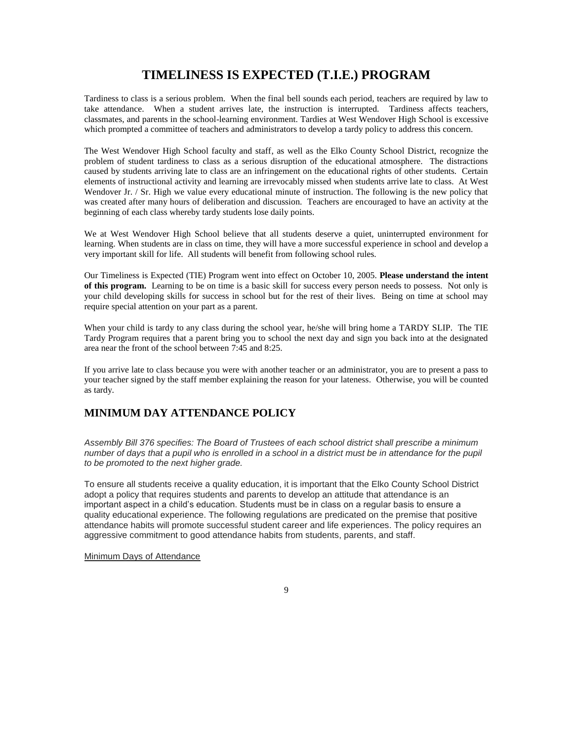### **TIMELINESS IS EXPECTED (T.I.E.) PROGRAM**

Tardiness to class is a serious problem. When the final bell sounds each period, teachers are required by law to take attendance. When a student arrives late, the instruction is interrupted. Tardiness affects teachers, classmates, and parents in the school-learning environment. Tardies at West Wendover High School is excessive which prompted a committee of teachers and administrators to develop a tardy policy to address this concern.

The West Wendover High School faculty and staff, as well as the Elko County School District, recognize the problem of student tardiness to class as a serious disruption of the educational atmosphere. The distractions caused by students arriving late to class are an infringement on the educational rights of other students. Certain elements of instructional activity and learning are irrevocably missed when students arrive late to class. At West Wendover Jr. / Sr. High we value every educational minute of instruction. The following is the new policy that was created after many hours of deliberation and discussion. Teachers are encouraged to have an activity at the beginning of each class whereby tardy students lose daily points.

We at West Wendover High School believe that all students deserve a quiet, uninterrupted environment for learning. When students are in class on time, they will have a more successful experience in school and develop a very important skill for life. All students will benefit from following school rules.

Our Timeliness is Expected (TIE) Program went into effect on October 10, 2005. **Please understand the intent of this program.** Learning to be on time is a basic skill for success every person needs to possess. Not only is your child developing skills for success in school but for the rest of their lives. Being on time at school may require special attention on your part as a parent.

When your child is tardy to any class during the school year, he/she will bring home a TARDY SLIP. The TIE Tardy Program requires that a parent bring you to school the next day and sign you back into at the designated area near the front of the school between 7:45 and 8:25.

If you arrive late to class because you were with another teacher or an administrator, you are to present a pass to your teacher signed by the staff member explaining the reason for your lateness. Otherwise, you will be counted as tardy.

#### **MINIMUM DAY ATTENDANCE POLICY**

*Assembly Bill 376 specifies: The Board of Trustees of each school district shall prescribe a minimum number of days that a pupil who is enrolled in a school in a district must be in attendance for the pupil to be promoted to the next higher grade.*

To ensure all students receive a quality education, it is important that the Elko County School District adopt a policy that requires students and parents to develop an attitude that attendance is an important aspect in a child's education. Students must be in class on a regular basis to ensure a quality educational experience. The following regulations are predicated on the premise that positive attendance habits will promote successful student career and life experiences. The policy requires an aggressive commitment to good attendance habits from students, parents, and staff.

Minimum Days of Attendance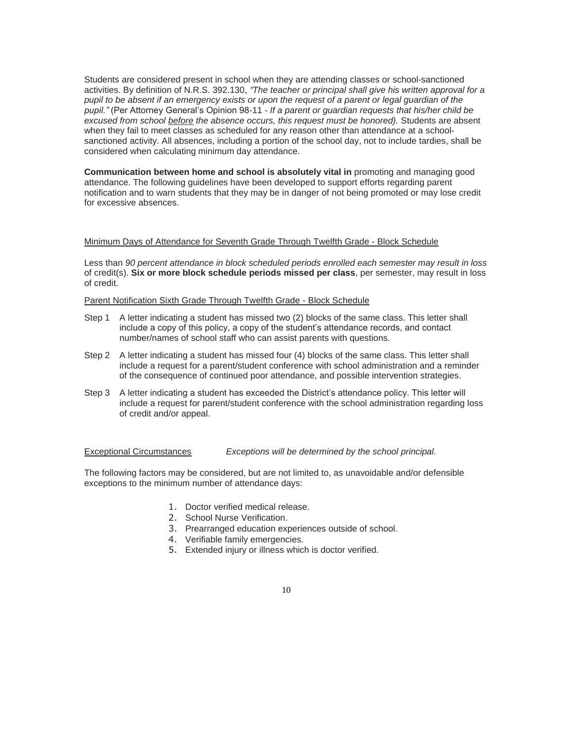Students are considered present in school when they are attending classes or school-sanctioned activities. By definition of N.R.S. 392.130, *"The teacher or principal shall give his written approval for a pupil to be absent if an emergency exists or upon the request of a parent or legal guardian of the pupil."* (Per Attorney General's Opinion 98-11 - *If a parent or guardian requests that his/her child be excused from school before the absence occurs, this request must be honored).* Students are absent when they fail to meet classes as scheduled for any reason other than attendance at a schoolsanctioned activity. All absences, including a portion of the school day, not to include tardies, shall be considered when calculating minimum day attendance.

**Communication between home and school is absolutely vital in** promoting and managing good attendance. The following guidelines have been developed to support efforts regarding parent notification and to warn students that they may be in danger of not being promoted or may lose credit for excessive absences.

#### Minimum Days of Attendance for Seventh Grade Through Twelfth Grade - Block Schedule

Less than *90 percent attendance in block scheduled periods enrolled each semester may result in loss* of credit(s). **Six or more block schedule periods missed per class**, per semester, may result in loss of credit.

Parent Notification Sixth Grade Through Twelfth Grade - Block Schedule

- Step 1 A letter indicating a student has missed two (2) blocks of the same class. This letter shall include a copy of this policy, a copy of the student's attendance records, and contact number/names of school staff who can assist parents with questions.
- Step 2 A letter indicating a student has missed four (4) blocks of the same class. This letter shall include a request for a parent/student conference with school administration and a reminder of the consequence of continued poor attendance, and possible intervention strategies.
- Step 3 A letter indicating a student has exceeded the District's attendance policy. This letter will include a request for parent/student conference with the school administration regarding loss of credit and/or appeal.

Exceptional Circumstances *Exceptions will be determined by the school principal.*

The following factors may be considered, but are not limited to, as unavoidable and/or defensible exceptions to the minimum number of attendance days:

- 1. Doctor verified medical release.
- 2. School Nurse Verification.
- 3. Prearranged education experiences outside of school.
- 4. Verifiable family emergencies.
- 5. Extended injury or illness which is doctor verified.
	- 10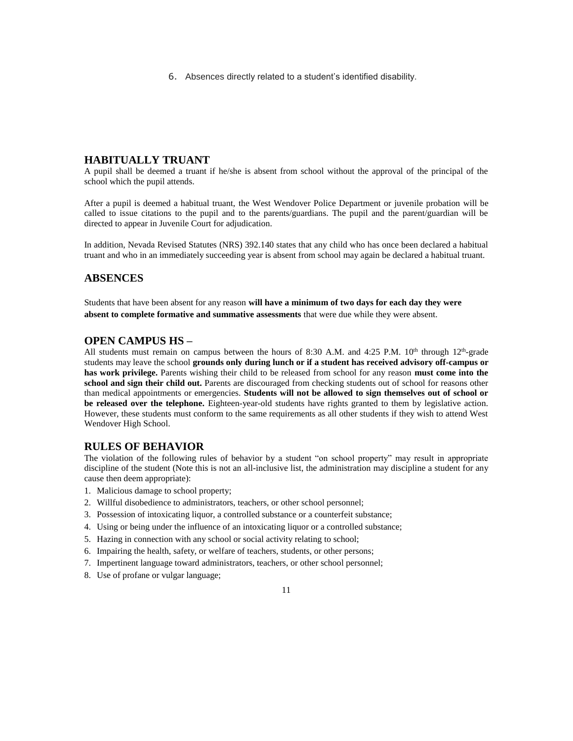6. Absences directly related to a student's identified disability.

#### **HABITUALLY TRUANT**

A pupil shall be deemed a truant if he/she is absent from school without the approval of the principal of the school which the pupil attends.

After a pupil is deemed a habitual truant, the West Wendover Police Department or juvenile probation will be called to issue citations to the pupil and to the parents/guardians. The pupil and the parent/guardian will be directed to appear in Juvenile Court for adjudication.

In addition, Nevada Revised Statutes (NRS) 392.140 states that any child who has once been declared a habitual truant and who in an immediately succeeding year is absent from school may again be declared a habitual truant.

#### **ABSENCES**

Students that have been absent for any reason **will have a minimum of two days for each day they were absent to complete formative and summative assessments** that were due while they were absent.

#### **OPEN CAMPUS HS –**

All students must remain on campus between the hours of 8:30 A.M. and 4:25 P.M.  $10^{th}$  through  $12^{th}$ -grade students may leave the school **grounds only during lunch or if a student has received advisory off-campus or has work privilege.** Parents wishing their child to be released from school for any reason **must come into the school and sign their child out.** Parents are discouraged from checking students out of school for reasons other than medical appointments or emergencies. **Students will not be allowed to sign themselves out of school or be released over the telephone.** Eighteen-year-old students have rights granted to them by legislative action. However, these students must conform to the same requirements as all other students if they wish to attend West Wendover High School.

#### **RULES OF BEHAVIOR**

The violation of the following rules of behavior by a student "on school property" may result in appropriate discipline of the student (Note this is not an all-inclusive list, the administration may discipline a student for any cause then deem appropriate):

- 1. Malicious damage to school property;
- 2. Willful disobedience to administrators, teachers, or other school personnel;
- 3. Possession of intoxicating liquor, a controlled substance or a counterfeit substance;
- 4. Using or being under the influence of an intoxicating liquor or a controlled substance;
- 5. Hazing in connection with any school or social activity relating to school;
- 6. Impairing the health, safety, or welfare of teachers, students, or other persons;
- 7. Impertinent language toward administrators, teachers, or other school personnel;
- 8. Use of profane or vulgar language;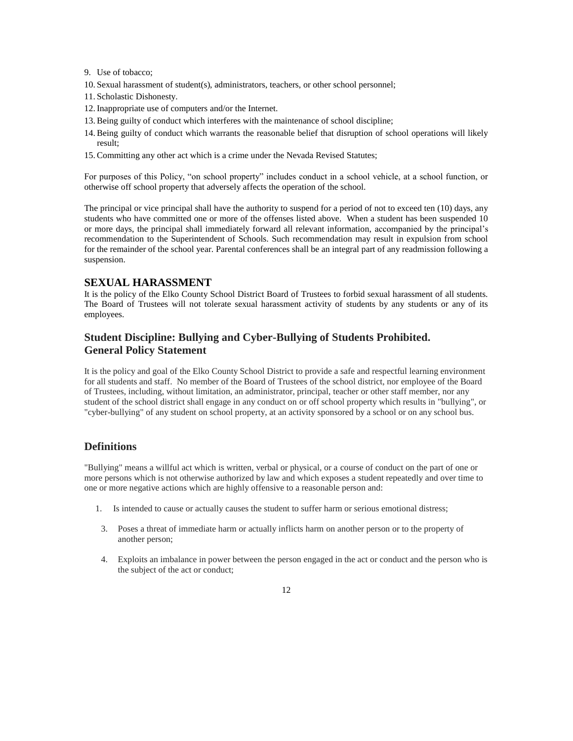- 9. Use of tobacco;
- 10. Sexual harassment of student(s), administrators, teachers, or other school personnel;
- 11. Scholastic Dishonesty.
- 12. Inappropriate use of computers and/or the Internet.
- 13. Being guilty of conduct which interferes with the maintenance of school discipline;
- 14. Being guilty of conduct which warrants the reasonable belief that disruption of school operations will likely result;
- 15. Committing any other act which is a crime under the Nevada Revised Statutes;

For purposes of this Policy, "on school property" includes conduct in a school vehicle, at a school function, or otherwise off school property that adversely affects the operation of the school.

The principal or vice principal shall have the authority to suspend for a period of not to exceed ten (10) days, any students who have committed one or more of the offenses listed above. When a student has been suspended 10 or more days, the principal shall immediately forward all relevant information, accompanied by the principal's recommendation to the Superintendent of Schools. Such recommendation may result in expulsion from school for the remainder of the school year. Parental conferences shall be an integral part of any readmission following a suspension.

#### **SEXUAL HARASSMENT**

It is the policy of the Elko County School District Board of Trustees to forbid sexual harassment of all students. The Board of Trustees will not tolerate sexual harassment activity of students by any students or any of its employees.

#### **Student Discipline: Bullying and Cyber-Bullying of Students Prohibited. General Policy Statement**

It is the policy and goal of the Elko County School District to provide a safe and respectful learning environment for all students and staff. No member of the Board of Trustees of the school district, nor employee of the Board of Trustees, including, without limitation, an administrator, principal, teacher or other staff member, nor any student of the school district shall engage in any conduct on or off school property which results in "bullying", or "cyber-bullying" of any student on school property, at an activity sponsored by a school or on any school bus.

#### **Definitions**

"Bullying" means a willful act which is written, verbal or physical, or a course of conduct on the part of one or more persons which is not otherwise authorized by law and which exposes a student repeatedly and over time to one or more negative actions which are highly offensive to a reasonable person and:

- 1. Is intended to cause or actually causes the student to suffer harm or serious emotional distress;
- 3. Poses a threat of immediate harm or actually inflicts harm on another person or to the property of another person;
- 4. Exploits an imbalance in power between the person engaged in the act or conduct and the person who is the subject of the act or conduct;

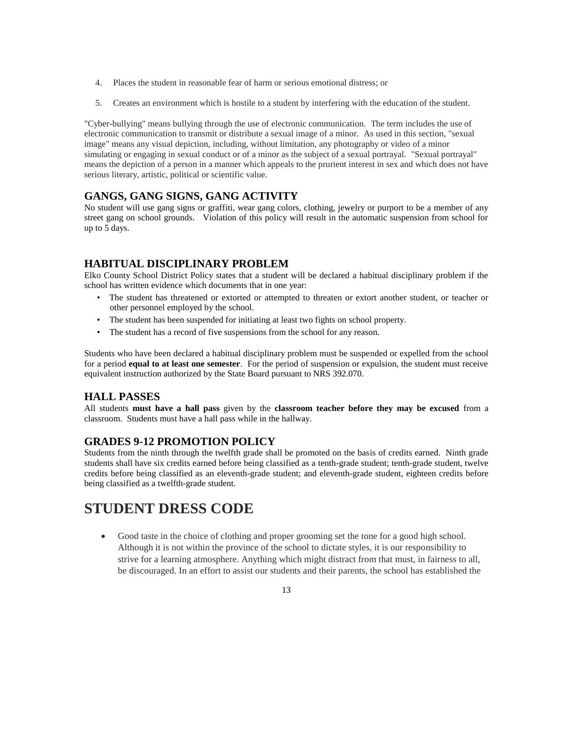- 4. Places the student in reasonable fear of harm or serious emotional distress; or
- 5. Creates an environment which is hostile to a student by interfering with the education of the student.

"Cyber-bullying" means bullying through the use of electronic communication. The term includes the use of electronic communication to transmit or distribute a sexual image of a minor. As used in this section, "sexual image" means any visual depiction, including, without limitation, any photography or video of a minor simulating or engaging in sexual conduct or of a minor as the subject of a sexual portrayal. "Sexual portrayal" means the depiction of a person in a manner which appeals to the prurient interest in sex and which does not have serious literary, artistic, political or scientific value.

#### **GANGS, GANG SIGNS, GANG ACTIVITY**

No student will use gang signs or graffiti, wear gang colors, clothing, jewelry or purport to be a member of any street gang on school grounds. Violation of this policy will result in the automatic suspension from school for up to 5 days.

#### **HABITUAL DISCIPLINARY PROBLEM**

Elko County School District Policy states that a student will be declared a habitual disciplinary problem if the school has written evidence which documents that in one year:

- The student has threatened or extorted or attempted to threaten or extort another student, or teacher or other personnel employed by the school.
- The student has been suspended for initiating at least two fights on school property.
- The student has a record of five suspensions from the school for any reason.

Students who have been declared a habitual disciplinary problem must be suspended or expelled from the school for a period **equal to at least one semester**. For the period of suspension or expulsion, the student must receive equivalent instruction authorized by the State Board pursuant to NRS 392.070.

#### **HALL PASSES**

All students **must have a hall pass** given by the **classroom teacher before they may be excused** from a classroom. Students must have a hall pass while in the hallway.

#### **GRADES 9-12 PROMOTION POLICY**

Students from the ninth through the twelfth grade shall be promoted on the basis of credits earned. Ninth grade students shall have six credits earned before being classified as a tenth-grade student; tenth-grade student, twelve credits before being classified as an eleventh-grade student; and eleventh-grade student, eighteen credits before being classified as a twelfth-grade student.

# **STUDENT DRESS CODE**

 Good taste in the choice of clothing and proper grooming set the tone for a good high school. Although it is not within the province of the school to dictate styles, it is our responsibility to strive for a learning atmosphere. Anything which might distract from that must, in fairness to all, be discouraged. In an effort to assist our students and their parents, the school has established the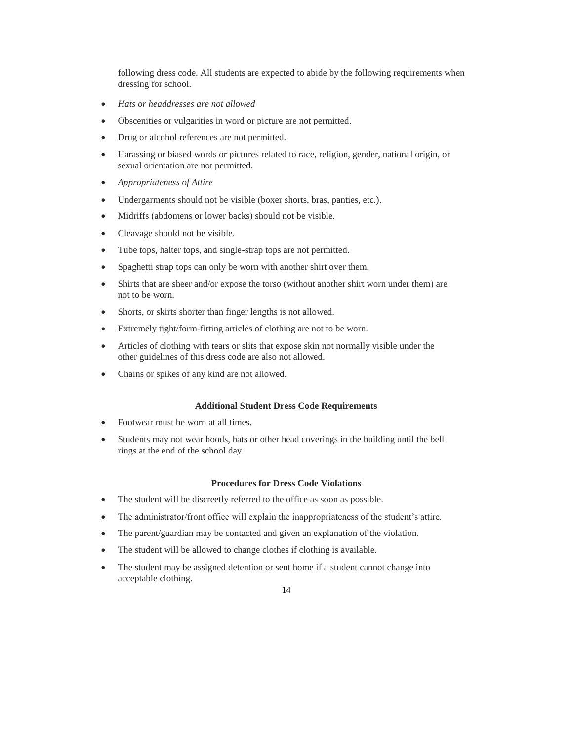following dress code. All students are expected to abide by the following requirements when dressing for school.

- *Hats or headdresses are not allowed*
- Obscenities or vulgarities in word or picture are not permitted.
- Drug or alcohol references are not permitted.
- Harassing or biased words or pictures related to race, religion, gender, national origin, or sexual orientation are not permitted.
- *Appropriateness of Attire*
- Undergarments should not be visible (boxer shorts, bras, panties, etc.).
- Midriffs (abdomens or lower backs) should not be visible.
- Cleavage should not be visible.
- Tube tops, halter tops, and single-strap tops are not permitted.
- Spaghetti strap tops can only be worn with another shirt over them.
- Shirts that are sheer and/or expose the torso (without another shirt worn under them) are not to be worn.
- Shorts, or skirts shorter than finger lengths is not allowed.
- Extremely tight/form-fitting articles of clothing are not to be worn.
- Articles of clothing with tears or slits that expose skin not normally visible under the other guidelines of this dress code are also not allowed.
- Chains or spikes of any kind are not allowed.

#### **Additional Student Dress Code Requirements**

- Footwear must be worn at all times.
- Students may not wear hoods, hats or other head coverings in the building until the bell rings at the end of the school day.

#### **Procedures for Dress Code Violations**

- The student will be discreetly referred to the office as soon as possible.
- The administrator/front office will explain the inappropriateness of the student's attire.
- The parent/guardian may be contacted and given an explanation of the violation.
- The student will be allowed to change clothes if clothing is available.
- The student may be assigned detention or sent home if a student cannot change into acceptable clothing.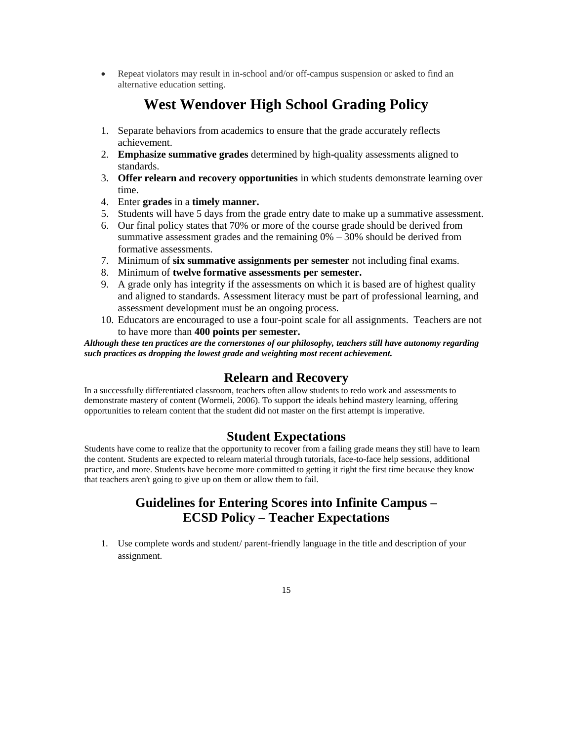• Repeat violators may result in in-school and/or off-campus suspension or asked to find an alternative education setting.

# **West Wendover High School Grading Policy**

- 1. Separate behaviors from academics to ensure that the grade accurately reflects achievement.
- 2. **Emphasize summative grades** determined by high-quality assessments aligned to standards.
- 3. **Offer relearn and recovery opportunities** in which students demonstrate learning over time.
- 4. Enter **grades** in a **timely manner.**
- 5. Students will have 5 days from the grade entry date to make up a summative assessment.
- 6. Our final policy states that 70% or more of the course grade should be derived from summative assessment grades and the remaining  $0\% - 30\%$  should be derived from formative assessments.
- 7. Minimum of **six summative assignments per semester** not including final exams.
- 8. Minimum of **twelve formative assessments per semester.**
- 9. A grade only has integrity if the assessments on which it is based are of highest quality and aligned to standards. Assessment literacy must be part of professional learning, and assessment development must be an ongoing process.
- 10. Educators are encouraged to use a four-point scale for all assignments. Teachers are not to have more than **400 points per semester.**

*Although these ten practices are the cornerstones of our philosophy, teachers still have autonomy regarding such practices as dropping the lowest grade and weighting most recent achievement.* 

## **Relearn and Recovery**

In a successfully differentiated classroom, teachers often allow students to redo work and assessments to demonstrate mastery of content (Wormeli, 2006). To support the ideals behind mastery learning, offering opportunities to relearn content that the student did not master on the first attempt is imperative.

## **Student Expectations**

Students have come to realize that the opportunity to recover from a failing grade means they still have to learn the content. Students are expected to relearn material through tutorials, face-to-face help sessions, additional practice, and more. Students have become more committed to getting it right the first time because they know that teachers aren't going to give up on them or allow them to fail.

# **Guidelines for Entering Scores into Infinite Campus – ECSD Policy – Teacher Expectations**

1. Use complete words and student/ parent-friendly language in the title and description of your assignment.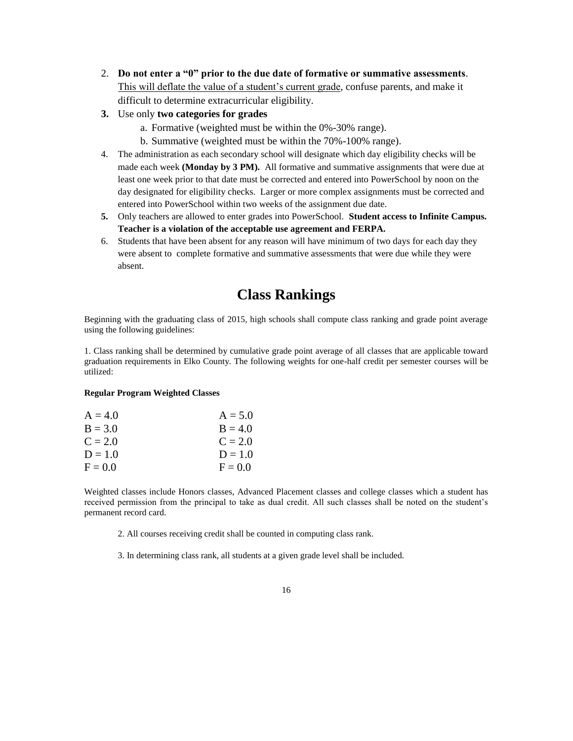- 2. **Do not enter a "0" prior to the due date of formative or summative assessments**. This will deflate the value of a student's current grade, confuse parents, and make it difficult to determine extracurricular eligibility.
- **3.** Use only **two categories for grades**
	- a. Formative (weighted must be within the 0%-30% range).
	- b. Summative (weighted must be within the 70%-100% range).
- 4. The administration as each secondary school will designate which day eligibility checks will be made each week **(Monday by 3 PM).** All formative and summative assignments that were due at least one week prior to that date must be corrected and entered into PowerSchool by noon on the day designated for eligibility checks. Larger or more complex assignments must be corrected and entered into PowerSchool within two weeks of the assignment due date.
- **5.** Only teachers are allowed to enter grades into PowerSchool. **Student access to Infinite Campus. Teacher is a violation of the acceptable use agreement and FERPA.**
- 6. Students that have been absent for any reason will have minimum of two days for each day they were absent to complete formative and summative assessments that were due while they were absent.

# **Class Rankings**

Beginning with the graduating class of 2015, high schools shall compute class ranking and grade point average using the following guidelines:

1. Class ranking shall be determined by cumulative grade point average of all classes that are applicable toward graduation requirements in Elko County. The following weights for one-half credit per semester courses will be utilized:

#### **Regular Program Weighted Classes**

| $A = 4.0$ | $A = 5.0$ |
|-----------|-----------|
| $B = 3.0$ | $B = 4.0$ |
| $C = 2.0$ | $C = 2.0$ |
| $D = 1.0$ | $D = 1.0$ |
| $F = 0.0$ | $F = 0.0$ |

Weighted classes include Honors classes, Advanced Placement classes and college classes which a student has received permission from the principal to take as dual credit. All such classes shall be noted on the student's permanent record card.

2. All courses receiving credit shall be counted in computing class rank.

3. In determining class rank, all students at a given grade level shall be included.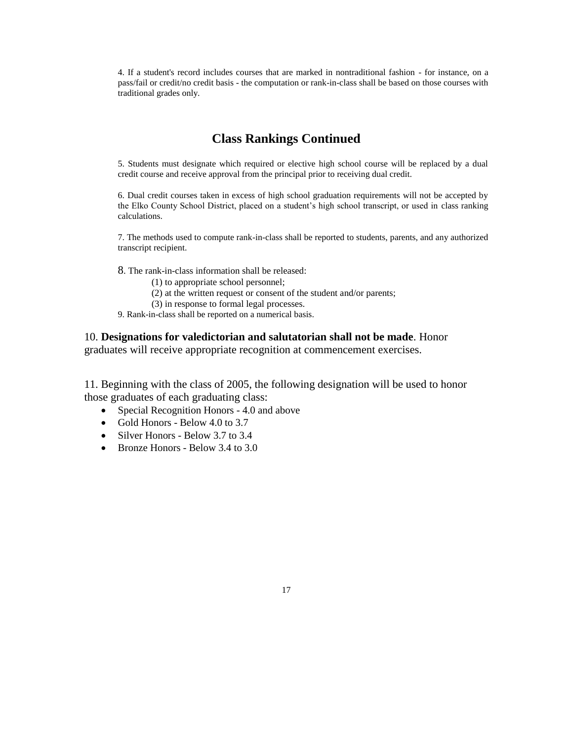4. If a student's record includes courses that are marked in nontraditional fashion - for instance, on a pass/fail or credit/no credit basis - the computation or rank-in-class shall be based on those courses with traditional grades only.

### **Class Rankings Continued**

5. Students must designate which required or elective high school course will be replaced by a dual credit course and receive approval from the principal prior to receiving dual credit.

6. Dual credit courses taken in excess of high school graduation requirements will not be accepted by the Elko County School District, placed on a student's high school transcript, or used in class ranking calculations.

7. The methods used to compute rank-in-class shall be reported to students, parents, and any authorized transcript recipient.

8. The rank-in-class information shall be released:

(1) to appropriate school personnel;

(2) at the written request or consent of the student and/or parents;

(3) in response to formal legal processes.

9. Rank-in-class shall be reported on a numerical basis.

#### 10. **Designations for valedictorian and salutatorian shall not be made**. Honor graduates will receive appropriate recognition at commencement exercises.

11. Beginning with the class of 2005, the following designation will be used to honor those graduates of each graduating class:

- Special Recognition Honors 4.0 and above
- Gold Honors Below 4.0 to 3.7
- Silver Honors Below 3.7 to 3.4
- Bronze Honors Below 3.4 to 3.0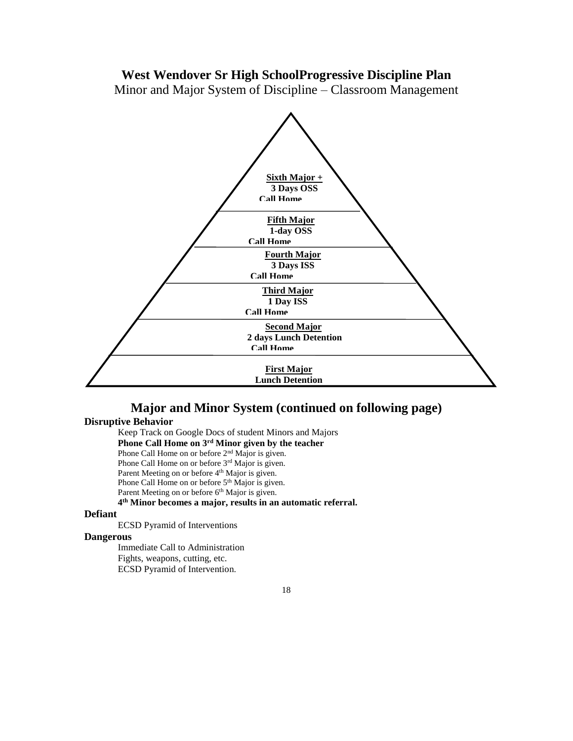## **West Wendover Sr High SchoolProgressive Discipline Plan**

Minor and Major System of Discipline – Classroom Management



# **Major and Minor System (continued on following page)**

### **Disruptive Behavior**

Keep Track on Google Docs of student Minors and Majors

**Phone Call Home on 3rd Minor given by the teacher**

Phone Call Home on or before 2<sup>nd</sup> Major is given.

Phone Call Home on or before 3<sup>rd</sup> Major is given.

Parent Meeting on or before 4<sup>th</sup> Major is given.

Phone Call Home on or before 5<sup>th</sup> Major is given.

Parent Meeting on or before 6<sup>th</sup> Major is given.

#### **4 th Minor becomes a major, results in an automatic referral.**

#### **Defiant**

ECSD Pyramid of Interventions

#### **Dangerous**

Immediate Call to Administration Fights, weapons, cutting, etc.

ECSD Pyramid of Intervention.

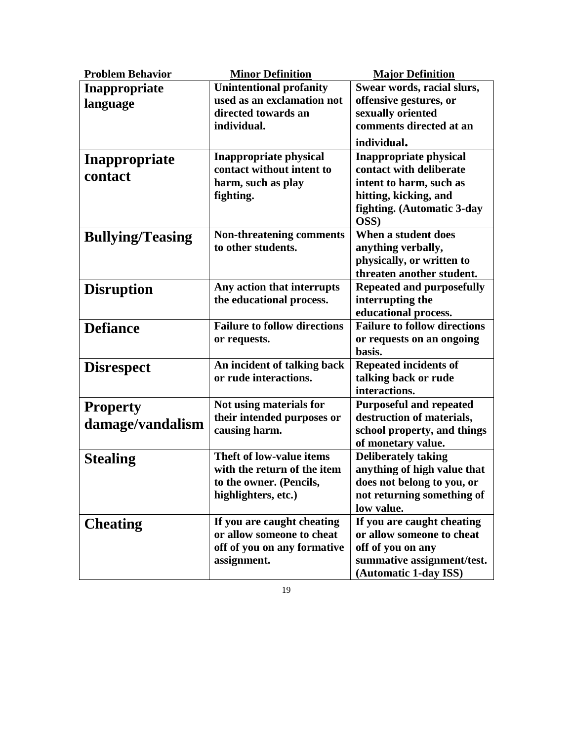| <b>Problem Behavior</b> | <b>Minor Definition</b>                               | <b>Major Definition</b>                                     |
|-------------------------|-------------------------------------------------------|-------------------------------------------------------------|
| Inappropriate           | <b>Unintentional profanity</b>                        | Swear words, racial slurs,                                  |
| language                | used as an exclamation not                            | offensive gestures, or                                      |
|                         | directed towards an                                   | sexually oriented                                           |
|                         | individual.                                           | comments directed at an                                     |
|                         |                                                       | individual.                                                 |
| Inappropriate           | <b>Inappropriate physical</b>                         | <b>Inappropriate physical</b>                               |
| contact                 | contact without intent to                             | contact with deliberate                                     |
|                         | harm, such as play                                    | intent to harm, such as                                     |
|                         | fighting.                                             | hitting, kicking, and                                       |
|                         |                                                       | fighting. (Automatic 3-day<br>OSS)                          |
|                         | <b>Non-threatening comments</b>                       | When a student does                                         |
| <b>Bullying/Teasing</b> | to other students.                                    | anything verbally,                                          |
|                         |                                                       | physically, or written to                                   |
|                         |                                                       | threaten another student.                                   |
| <b>Disruption</b>       | Any action that interrupts                            | <b>Repeated and purposefully</b>                            |
|                         | the educational process.                              | interrupting the                                            |
|                         |                                                       | educational process.                                        |
| <b>Defiance</b>         | <b>Failure to follow directions</b>                   | <b>Failure to follow directions</b>                         |
|                         | or requests.                                          | or requests on an ongoing                                   |
|                         |                                                       | basis.                                                      |
| <b>Disrespect</b>       | An incident of talking back                           | <b>Repeated incidents of</b>                                |
|                         | or rude interactions.                                 | talking back or rude                                        |
|                         |                                                       | interactions.                                               |
| <b>Property</b>         | Not using materials for<br>their intended purposes or | <b>Purposeful and repeated</b><br>destruction of materials, |
| damage/vandalism        | causing harm.                                         | school property, and things                                 |
|                         |                                                       | of monetary value.                                          |
| <b>Stealing</b>         | Theft of low-value items                              | <b>Deliberately taking</b>                                  |
|                         | with the return of the item                           | anything of high value that                                 |
|                         | to the owner. (Pencils,                               | does not belong to you, or                                  |
|                         | highlighters, etc.)                                   | not returning something of                                  |
|                         |                                                       | low value.                                                  |
| <b>Cheating</b>         | If you are caught cheating                            | If you are caught cheating                                  |
|                         | or allow someone to cheat                             | or allow someone to cheat                                   |
|                         | off of you on any formative                           | off of you on any                                           |
|                         | assignment.                                           | summative assignment/test.                                  |
|                         |                                                       | (Automatic 1-day ISS)                                       |